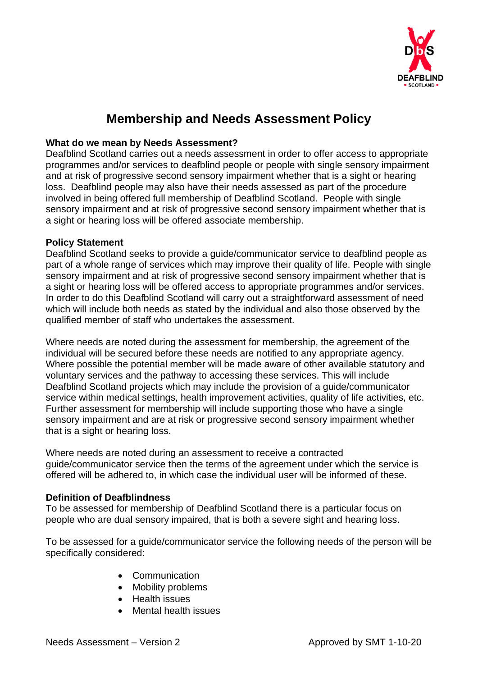

### **Membership and Needs Assessment Policy**

#### **What do we mean by Needs Assessment?**

Deafblind Scotland carries out a needs assessment in order to offer access to appropriate programmes and/or services to deafblind people or people with single sensory impairment and at risk of progressive second sensory impairment whether that is a sight or hearing loss. Deafblind people may also have their needs assessed as part of the procedure involved in being offered full membership of Deafblind Scotland. People with single sensory impairment and at risk of progressive second sensory impairment whether that is a sight or hearing loss will be offered associate membership.

#### **Policy Statement**

Deafblind Scotland seeks to provide a guide/communicator service to deafblind people as part of a whole range of services which may improve their quality of life. People with single sensory impairment and at risk of progressive second sensory impairment whether that is a sight or hearing loss will be offered access to appropriate programmes and/or services. In order to do this Deafblind Scotland will carry out a straightforward assessment of need which will include both needs as stated by the individual and also those observed by the qualified member of staff who undertakes the assessment.

Where needs are noted during the assessment for membership, the agreement of the individual will be secured before these needs are notified to any appropriate agency. Where possible the potential member will be made aware of other available statutory and voluntary services and the pathway to accessing these services. This will include Deafblind Scotland projects which may include the provision of a guide/communicator service within medical settings, health improvement activities, quality of life activities, etc. Further assessment for membership will include supporting those who have a single sensory impairment and are at risk or progressive second sensory impairment whether that is a sight or hearing loss.

Where needs are noted during an assessment to receive a contracted guide/communicator service then the terms of the agreement under which the service is offered will be adhered to, in which case the individual user will be informed of these.

#### **Definition of Deafblindness**

To be assessed for membership of Deafblind Scotland there is a particular focus on people who are dual sensory impaired, that is both a severe sight and hearing loss.

To be assessed for a guide/communicator service the following needs of the person will be specifically considered:

- Communication
- Mobility problems
- Health issues
- Mental health issues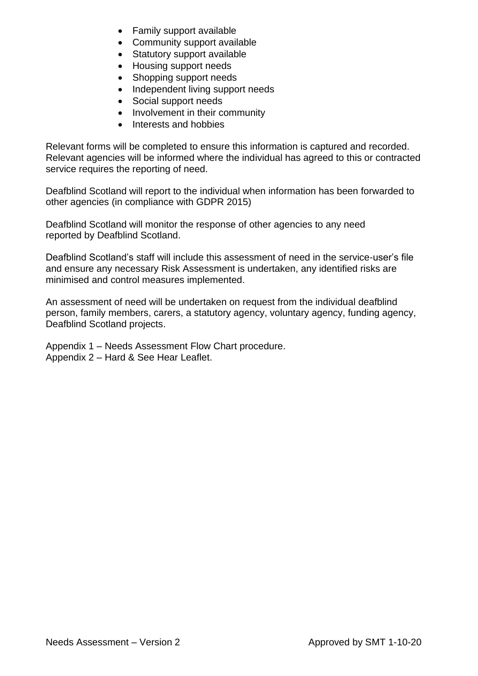- Family support available
- Community support available
- Statutory support available
- Housing support needs
- Shopping support needs
- Independent living support needs
- Social support needs
- Involvement in their community
- Interests and hobbies

Relevant forms will be completed to ensure this information is captured and recorded. Relevant agencies will be informed where the individual has agreed to this or contracted service requires the reporting of need.

Deafblind Scotland will report to the individual when information has been forwarded to other agencies (in compliance with GDPR 2015)

Deafblind Scotland will monitor the response of other agencies to any need reported by Deafblind Scotland.

Deafblind Scotland's staff will include this assessment of need in the service-user's file and ensure any necessary Risk Assessment is undertaken, any identified risks are minimised and control measures implemented.

An assessment of need will be undertaken on request from the individual deafblind person, family members, carers, a statutory agency, voluntary agency, funding agency, Deafblind Scotland projects.

Appendix 1 – Needs Assessment Flow Chart procedure. Appendix 2 – Hard & See Hear Leaflet.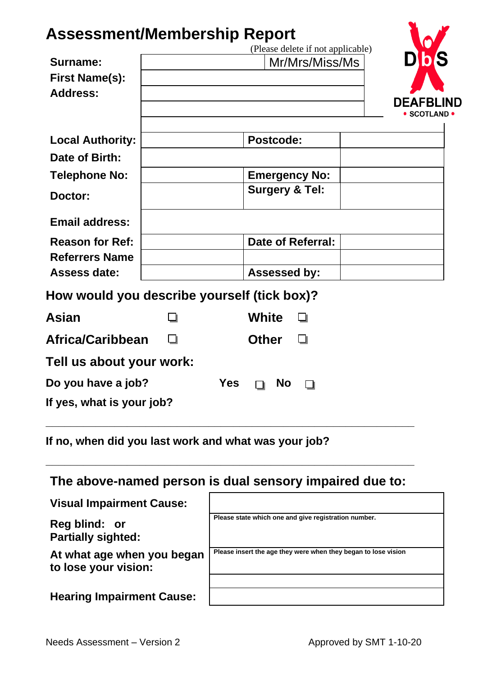## **Assessment/Membership Report**

|                                             |            | (Please delete if not applicable) |                  |
|---------------------------------------------|------------|-----------------------------------|------------------|
| Surname:                                    |            | Mr/Mrs/Miss/Ms                    |                  |
| <b>First Name(s):</b><br><b>Address:</b>    |            |                                   |                  |
|                                             |            |                                   | <b>DEAFBLIND</b> |
|                                             |            |                                   | • SCOTLAND •     |
| <b>Local Authority:</b>                     |            | <b>Postcode:</b>                  |                  |
| Date of Birth:                              |            |                                   |                  |
| <b>Telephone No:</b>                        |            | <b>Emergency No:</b>              |                  |
| Doctor:                                     |            | <b>Surgery &amp; Tel:</b>         |                  |
| <b>Email address:</b>                       |            |                                   |                  |
| <b>Reason for Ref:</b>                      |            | <b>Date of Referral:</b>          |                  |
| <b>Referrers Name</b>                       |            |                                   |                  |
| <b>Assess date:</b>                         |            | <b>Assessed by:</b>               |                  |
| How would you describe yourself (tick box)? |            |                                   |                  |
| Asian                                       |            | <b>White</b>                      |                  |
| Africa/Caribbean                            |            | <b>Other</b><br>ப                 |                  |
| Tell us about your work:                    |            |                                   |                  |
| Do you have a job?                          | <b>Yes</b> | <b>No</b>                         |                  |
| If yes, what is your job?                   |            |                                   |                  |
|                                             |            |                                   |                  |

**If no, when did you last work and what was your job?**

#### **The above-named person is dual sensory impaired due to:**

**\_\_\_\_\_\_\_\_\_\_\_\_\_\_\_\_\_\_\_\_\_\_\_\_\_\_\_\_\_\_\_\_\_\_\_\_\_\_\_\_\_\_\_\_\_\_\_\_\_\_\_\_\_\_\_\_\_\_\_**

| <b>Visual Impairment Cause:</b> |  |
|---------------------------------|--|
|                                 |  |

**Reg blind: or Partially sighted:**

**At what age when you began to lose your vision:**

|  | <b>Hearing Impairment Cause:</b> |  |
|--|----------------------------------|--|
|--|----------------------------------|--|

| Please state which one and give registration number.           |
|----------------------------------------------------------------|
|                                                                |
| Please insert the age they were when they began to lose vision |
|                                                                |
|                                                                |
|                                                                |
|                                                                |
|                                                                |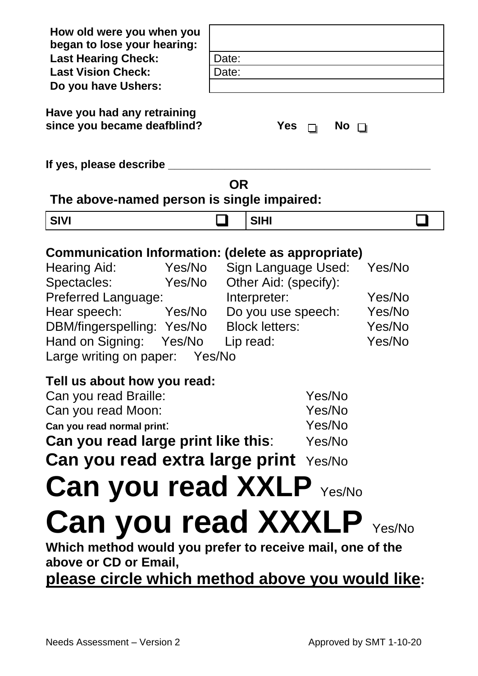**How old were you when you began to lose your hearing: Last Hearing Check:** | Date: **Last Vision Check: Date: Date: Do you have Ushers: Have you had any retraining since you became deafblind? Yes**  $\sqcap$  **No**  $\sqcap$ **If yes, please describe \_\_\_\_\_\_\_\_\_\_\_\_\_\_\_\_\_\_\_\_\_\_\_\_\_\_\_\_\_\_\_\_\_\_\_\_\_\_\_\_\_\_ OR The above-named person is single impaired: SIVI** ❑ **SIHI** ❑ **Communication Information: (delete as appropriate)** Hearing Aid: Yes/No Sign Language Used: Yes/No Spectacles: Yes/No Other Aid: (specify): Preferred Language: Interpreter: Yes/No Hear speech: Yes/No Do you use speech: Yes/No DBM/fingerspelling: Yes/No Block letters: Yes/No Hand on Signing: Yes/No Lip read: Yes/No Large writing on paper: Yes/No **Tell us about how you read:** Can you read Braille: Yes/No Can you read Moon: Yes/No **Can you read normal print**: Yes/No **Can you read large print like this:** Yes/No **Can you read extra large print** Yes/No **Can you read XXLP** Yes/No Can you read XXXLP Yes/No **Which method would you prefer to receive mail, one of the above or CD or Email, please circle which method above you would like:**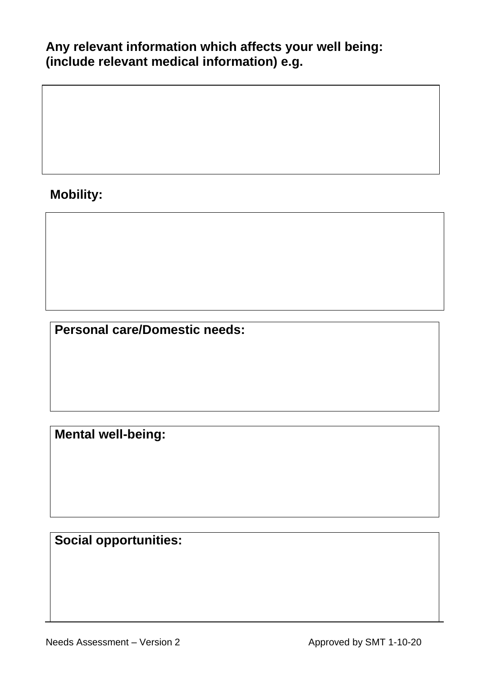#### **Any relevant information which affects your well being: (include relevant medical information) e.g.**

## **Mobility:**

**Personal care/Domestic needs:**

**Mental well-being:**

**Social opportunities:**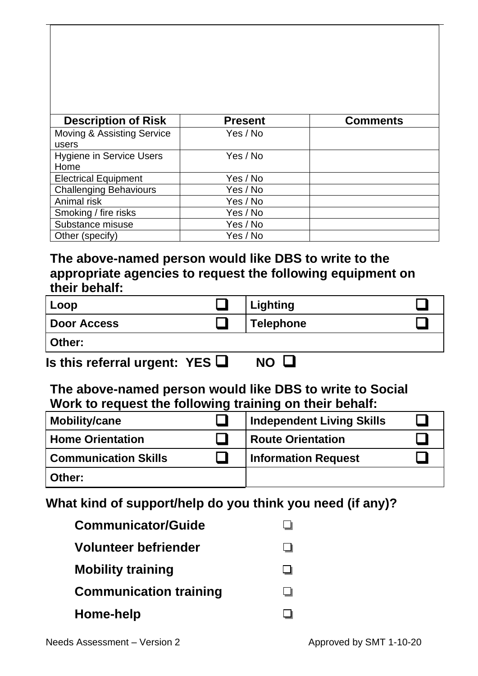| <b>Description of Risk</b>              | <b>Present</b> | <b>Comments</b> |
|-----------------------------------------|----------------|-----------------|
| Moving & Assisting Service<br>users     | Yes / No       |                 |
| <b>Hygiene in Service Users</b><br>Home | Yes / No       |                 |
| <b>Electrical Equipment</b>             | Yes / No       |                 |
| <b>Challenging Behaviours</b>           | Yes / No       |                 |
| Animal risk                             | Yes / No       |                 |
| Smoking / fire risks                    | Yes / No       |                 |
| Substance misuse                        | Yes / No       |                 |
| Other (specify)                         | Yes / No       |                 |

#### **The above-named person would like DBS to write to the appropriate agencies to request the following equipment on their behalf:**

| Loop        | <b>Lighting</b>  |  |
|-------------|------------------|--|
| Door Access | <b>Telephone</b> |  |
| Other:      |                  |  |

**Is this referral urgent: YES** ❑ **NO** ❑ 

#### **The above-named person would like DBS to write to Social Work to request the following training on their behalf:**

| <b>Mobility/cane</b>        | <b>Independent Living Skills</b> |  |
|-----------------------------|----------------------------------|--|
| <b>Home Orientation</b>     | <b>Route Orientation</b>         |  |
| <b>Communication Skills</b> | <b>Information Request</b>       |  |
| Other:                      |                                  |  |

#### **What kind of support/help do you think you need (if any)?**

| <b>Communicator/Guide</b>     |  |
|-------------------------------|--|
| Volunteer befriender          |  |
| <b>Mobility training</b>      |  |
| <b>Communication training</b> |  |
| Home-help                     |  |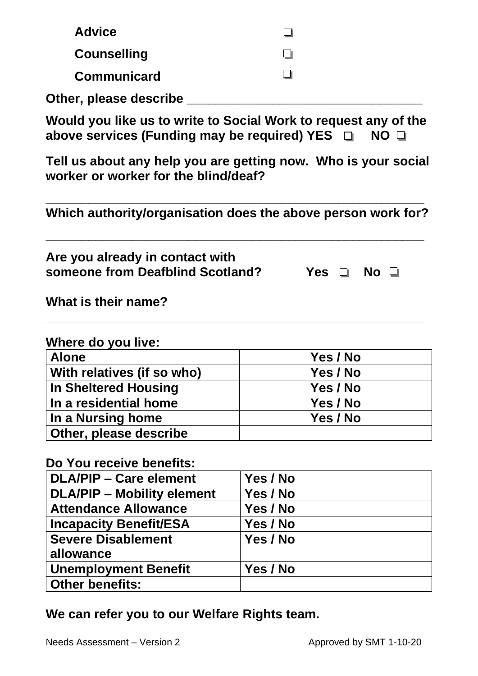| <b>Advice</b>                                                       | ∩                                                                              |
|---------------------------------------------------------------------|--------------------------------------------------------------------------------|
| <b>Counselling</b>                                                  |                                                                                |
| <b>Communicard</b>                                                  |                                                                                |
| Other, please describe                                              |                                                                                |
| above services (Funding may be required) YES $\Box$                 | Would you like us to write to Social Work to request any of the<br>$NO$ $\Box$ |
| worker or worker for the blind/deaf?                                | Tell us about any help you are getting now. Who is your social                 |
|                                                                     | Which authority/organisation does the above person work for?                   |
| Are you already in contact with<br>someone from Deafblind Scotland? | Yes □<br>$No$ $\Box$                                                           |
| What is their name?                                                 |                                                                                |
| Where do you live:                                                  |                                                                                |
| <b>Alone</b>                                                        | Yes / No                                                                       |
| With relatives (if so who)                                          | Yes / No                                                                       |
| <b>In Sheltered Housing</b>                                         | Yes / No                                                                       |
| In a residential home                                               | Yes / No                                                                       |
| In a Nursing home                                                   | Yes / No                                                                       |
| Other, please describe                                              |                                                                                |
| Do You receive benefits:                                            |                                                                                |
| <b>DLA/PIP – Care element</b>                                       | Yes / No                                                                       |
| <b>DLA/PIP - Mobility element</b>                                   | Yes / No                                                                       |
| <b>Attendance Allowance</b>                                         | Yes / No                                                                       |
| <b>Incapacity Benefit/ESA</b>                                       | Yes / No                                                                       |
| <b>Severe Disablement</b>                                           | Yes / No                                                                       |
| allowance                                                           |                                                                                |
|                                                                     |                                                                                |
| <b>Unemployment Benefit</b>                                         | Yes / No                                                                       |

**We can refer you to our Welfare Rights team.**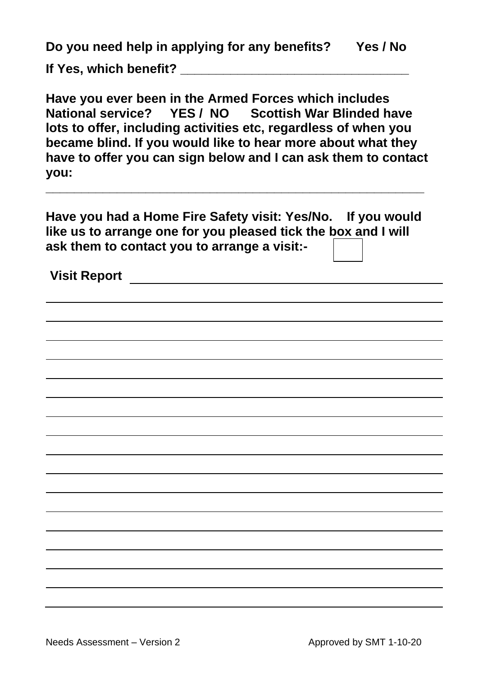| Do you need help in applying for any benefits?<br>Yes / No                                                                                                                                                                                                                                                                       |  |  |  |
|----------------------------------------------------------------------------------------------------------------------------------------------------------------------------------------------------------------------------------------------------------------------------------------------------------------------------------|--|--|--|
| If Yes, which benefit? _                                                                                                                                                                                                                                                                                                         |  |  |  |
| Have you ever been in the Armed Forces which includes<br>National service?    YES / NO    Scottish War Blinded have<br>lots to offer, including activities etc, regardless of when you<br>became blind. If you would like to hear more about what they<br>have to offer you can sign below and I can ask them to contact<br>you: |  |  |  |
| Have you had a Home Fire Safety visit: Yes/No. If you would<br>like us to arrange one for you pleased tick the box and I will<br>ask them to contact you to arrange a visit:-                                                                                                                                                    |  |  |  |
| <b>Visit Report</b>                                                                                                                                                                                                                                                                                                              |  |  |  |
|                                                                                                                                                                                                                                                                                                                                  |  |  |  |
|                                                                                                                                                                                                                                                                                                                                  |  |  |  |
|                                                                                                                                                                                                                                                                                                                                  |  |  |  |
|                                                                                                                                                                                                                                                                                                                                  |  |  |  |
|                                                                                                                                                                                                                                                                                                                                  |  |  |  |
|                                                                                                                                                                                                                                                                                                                                  |  |  |  |
|                                                                                                                                                                                                                                                                                                                                  |  |  |  |
|                                                                                                                                                                                                                                                                                                                                  |  |  |  |
|                                                                                                                                                                                                                                                                                                                                  |  |  |  |
|                                                                                                                                                                                                                                                                                                                                  |  |  |  |
|                                                                                                                                                                                                                                                                                                                                  |  |  |  |
|                                                                                                                                                                                                                                                                                                                                  |  |  |  |
|                                                                                                                                                                                                                                                                                                                                  |  |  |  |
|                                                                                                                                                                                                                                                                                                                                  |  |  |  |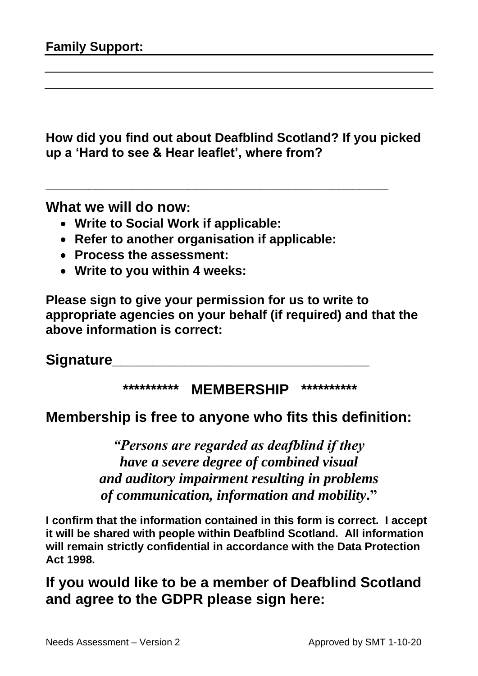**How did you find out about Deafblind Scotland? If you picked up a 'Hard to see & Hear leaflet', where from?**

**\_\_\_\_\_\_\_\_\_\_\_\_\_\_\_\_\_\_\_\_\_\_\_\_\_\_\_\_\_\_\_\_\_\_\_\_\_\_\_\_\_\_\_\_\_\_\_\_**

**What we will do now:**

- **Write to Social Work if applicable:**
- **Refer to another organisation if applicable:**
- **Process the assessment:**
- **Write to you within 4 weeks:**

**Please sign to give your permission for us to write to appropriate agencies on your behalf (if required) and that the above information is correct:**

**Signature** 

#### **\*\*\*\*\*\*\*\*\*\* MEMBERSHIP \*\*\*\*\*\*\*\*\*\***

#### **Membership is free to anyone who fits this definition:**

*"Persons are regarded as deafblind if they have a severe degree of combined visual and auditory impairment resulting in problems of communication, information and mobility***."**

**I confirm that the information contained in this form is correct. I accept it will be shared with people within Deafblind Scotland. All information will remain strictly confidential in accordance with the Data Protection Act 1998.**

**If you would like to be a member of Deafblind Scotland and agree to the GDPR please sign here:**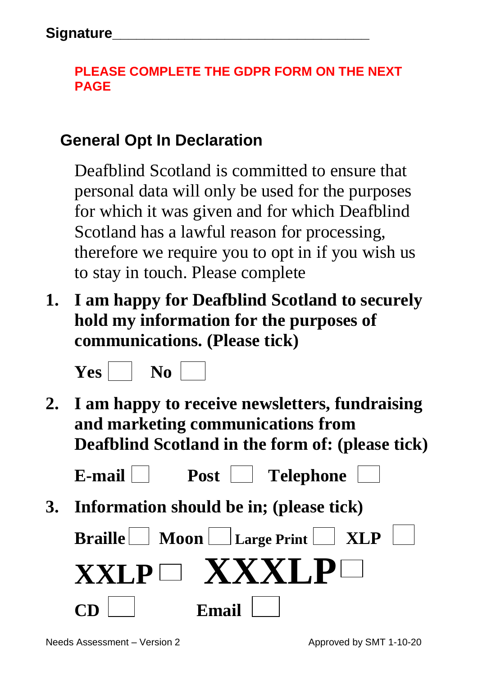### **PLEASE COMPLETE THE GDPR FORM ON THE NEXT PAGE**

## **General Opt In Declaration**

Deafblind Scotland is committed to ensure that personal data will only be used for the purposes for which it was given and for which Deafblind Scotland has a lawful reason for processing, therefore we require you to opt in if you wish us to stay in touch. Please complete

**1. I am happy for Deafblind Scotland to securely hold my information for the purposes of communications. (Please tick)**



**2. I am happy to receive newsletters, fundraising and marketing communications from Deafblind Scotland in the form of: (please tick)**

E-mail **Post** Telephone

**3. Information should be in; (please tick)**